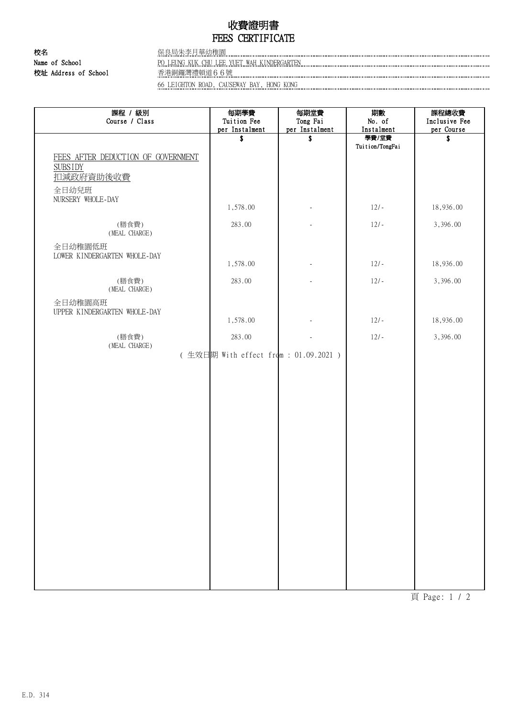## 收費證明書 FEES CERTIFICATE

校名 保良局朱李月華幼稚園 Name of School **PO LEUNG KUK CHU LEE YUET WAH KINDERGARTEN PO ACCOUNTED AND ACCOUNTED** PO LEUNG KUK CHU LEE YUET WAH KINDERGARTEN 校址 Address of School 香港銅鑼灣禮頓道66號

66 LEIGHTON ROAD, CAUSEWAY BAY, HONG KONG

| 課程 / 級別<br>Course / Class                                                  | 每期學費<br>Tuition Fee<br>per Instalment | 每期堂費<br>Tong Fai<br>per Instalment | 期數<br>No. of<br>Instalment | 課程總收費<br>Inclusive Fee<br>per Course |
|----------------------------------------------------------------------------|---------------------------------------|------------------------------------|----------------------------|--------------------------------------|
|                                                                            | \$                                    | \$                                 | 學費/堂費<br>Tuition/TongFai   | \$                                   |
| FEES AFTER DEDUCTION OF GOVERNMENT<br><b>SUBSIDY</b><br>扣减政府資助後收費<br>全日幼兒班 |                                       |                                    |                            |                                      |
| NURSERY WHOLE-DAY                                                          | 1,578.00                              |                                    | $12/-$                     | 18,936.00                            |
| (膳食費)<br>(MEAL CHARGE)                                                     | 283.00                                |                                    | $12/-$                     | 3,396.00                             |
| 全日幼稚園低班<br>LOWER KINDERGARTEN WHOLE-DAY                                    | 1,578.00                              |                                    | $12/-$                     | 18,936.00                            |
| (膳食費)<br>(MEAL CHARGE)                                                     | 283.00                                |                                    | $12/-$                     | 3,396.00                             |
| 全日幼稚園高班<br>UPPER KINDERGARTEN WHOLE-DAY                                    | 1,578.00                              |                                    | $12/-$                     | 18,936.00                            |
| (膳食費)<br>(MEAL CHARGE)                                                     | 283.00                                |                                    | $12/-$                     | 3,396.00                             |
|                                                                            | (生效日期 With effect from: 01.09.2021)   |                                    |                            |                                      |
|                                                                            |                                       |                                    |                            |                                      |
|                                                                            |                                       |                                    |                            |                                      |
|                                                                            |                                       |                                    |                            |                                      |
|                                                                            |                                       |                                    |                            |                                      |
|                                                                            |                                       |                                    |                            |                                      |
|                                                                            |                                       |                                    |                            |                                      |
|                                                                            |                                       |                                    |                            |                                      |
|                                                                            |                                       |                                    |                            |                                      |
|                                                                            |                                       |                                    |                            |                                      |
|                                                                            |                                       |                                    |                            |                                      |

頁 Page: 1 / 2